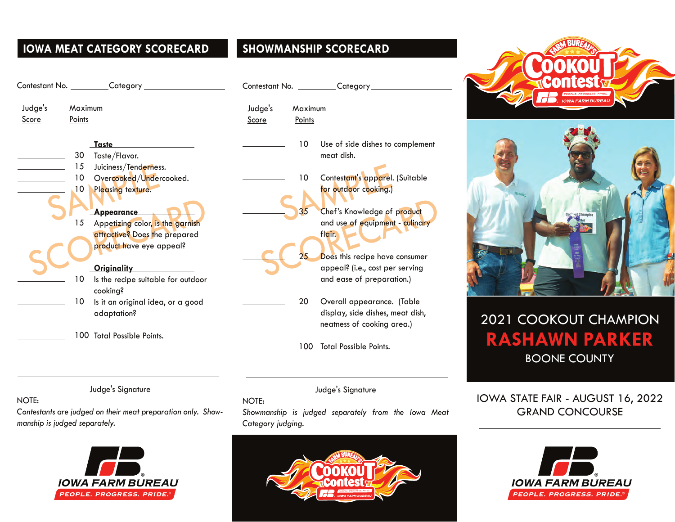# **IOWA MEAT CATEGORY SCORECARD SHOWMANSHIP SCORECARD**

|         |         | Contestant No. _________Category   |         |         | Contestant No. _________Category_ |
|---------|---------|------------------------------------|---------|---------|-----------------------------------|
| Judge's | Maximum |                                    | Judge's | Maximum |                                   |
| Score   | Points  |                                    | Score   | Points  |                                   |
|         |         | Taste                              |         | 10      | Use of side dishes to complement  |
|         | 30      | Taste/Flavor.                      |         |         | meat dish.                        |
|         | 15      | Juiciness/Tenderness.              |         |         |                                   |
|         | 10      | Overcooked/Undercooked.            |         | 10      | Contestant's apparel. (Suitable   |
|         | 10      | Pleasing texture.                  |         |         | for outdoor cooking.)             |
|         |         |                                    |         |         |                                   |
|         |         | Appearance                         |         | 35      | Chef's Knowledge of product       |
|         | 15      | Appetizing color, is the garnish   |         |         | and use of equipment - culinary   |
|         |         | attractive? Does the prepared      |         |         | flair.                            |
|         |         | product have eye appeal?           |         |         |                                   |
|         |         |                                    |         | 25      | Does this recipe have consumer    |
|         |         | Originality                        |         |         | appeal? (i.e., cost per serving   |
|         | 10      | Is the recipe suitable for outdoor |         |         | and ease of preparation.)         |
|         |         | cooking?                           |         |         |                                   |
|         | 10      | Is it an original idea, or a good  |         | 20      | Overall appearance. (Table        |
|         |         | adaptation?                        |         |         | display, side dishes, meat dish,  |
|         |         |                                    |         |         | neatness of cooking area.)        |
|         |         | 100 Total Possible Points.         |         |         |                                   |
|         |         |                                    |         | 100     | <b>Total Possible Points.</b>     |
|         |         |                                    |         |         |                                   |

# Category

- 20 Overall appearance. (Table display, side dishes, meat dish, neatness of cooking area.)
- 100 Total Possible Points.

Judge's Signature

#### NOTE:

*Showmanship is judged separately from the Iowa Meat Category judging.*







# 2021 COOKOUT CHAMPION **RASHAWN PARKER** BOONE COUNTY

# IOWA STATE FAIR - AUGUST 16, 2022 GRAND CONCOURSE



### NOTE:

*Contestants are judged on their meat preparation only. Showmanship is judged separately.*

Judge's Signature